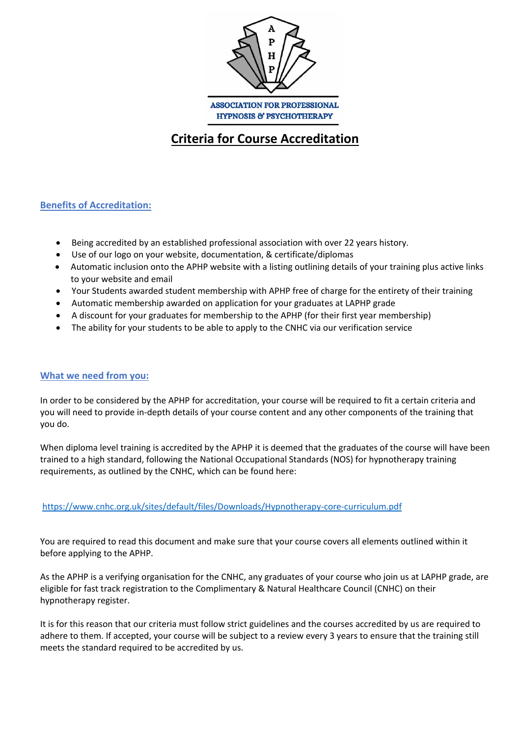

# **Criteria for Course Accreditation**

# **Benefits of Accreditation:**

- Being accredited by an established professional association with over 22 years history.
- Use of our logo on your website, documentation, & certificate/diplomas
- Automatic inclusion onto the APHP website with a listing outlining details of your training plus active links to your website and email
- Your Students awarded student membership with APHP free of charge for the entirety of their training
- Automatic membership awarded on application for your graduates at LAPHP grade
- A discount for your graduates for membership to the APHP (for their first year membership)
- The ability for your students to be able to apply to the CNHC via our verification service

#### **What we need from you:**

In order to be considered by the APHP for accreditation, your course will be required to fit a certain criteria and you will need to provide in-depth details of your course content and any other components of the training that you do.

When diploma level training is accredited by the APHP it is deemed that the graduates of the course will have been trained to a high standard, following the National Occupational Standards (NOS) for hypnotherapy training requirements, as outlined by the CNHC, which can be found here:

https://www.cnhc.org.uk/sites/default/files/Downloads/Hypnotherapy-core-curriculum.pdf

You are required to read this document and make sure that your course covers all elements outlined within it before applying to the APHP.

As the APHP is a verifying organisation for the CNHC, any graduates of your course who join us at LAPHP grade, are eligible for fast track registration to the Complimentary & Natural Healthcare Council (CNHC) on their hypnotherapy register.

It is for this reason that our criteria must follow strict guidelines and the courses accredited by us are required to adhere to them. If accepted, your course will be subject to a review every 3 years to ensure that the training still meets the standard required to be accredited by us.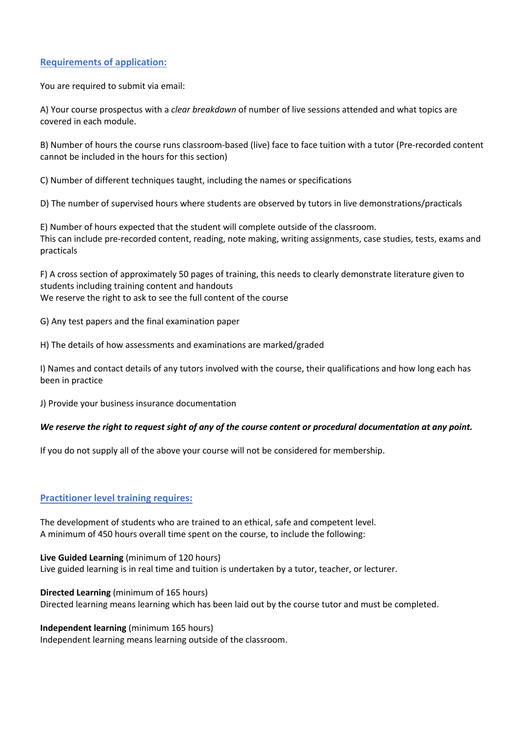# **Requirements of application:**

You are required to submit via email:

A) Your course prospectus with a *clear breakdown* of number of live sessions attended and what topics are covered in each module.

B) Number of hours the course runs classroom-based (live) face to face tuition with a tutor (Pre-recorded content cannot be included in the hours for this section)

C) Number of different techniques taught, including the names or specifications

D) The number of supervised hours where students are observed by tutors in live demonstrations/practicals

E) Number of hours expected that the student will complete outside of the classroom. This can include pre-recorded content, reading, note making, writing assignments, case studies, tests, exams and practicals

F) A cross section of approximately 50 pages of training, this needs to clearly demonstrate literature given to students including training content and handouts We reserve the right to ask to see the full content of the course

G) Any test papers and the final examination paper

H) The details of how assessments and examinations are marked/graded

I) Names and contact details of any tutors involved with the course, their qualifications and how long each has been in practice

J) Provide your business insurance documentation

#### *We reserve the right to request sight of any of the course content or procedural documentation at any point.*

If you do not supply all of the above your course will not be considered for membership.

## **Practitioner level training requires:**

The development of students who are trained to an ethical, safe and competent level. A minimum of 450 hours overall time spent on the course, to include the following:

**Live Guided Learning** (minimum of 120 hours)

Live guided learning is in real time and tuition is undertaken by a tutor, teacher, or lecturer.

**Directed Learning** (minimum of 165 hours)

Directed learning means learning which has been laid out by the course tutor and must be completed.

**Independent learning** (minimum 165 hours)

Independent learning means learning outside of the classroom.